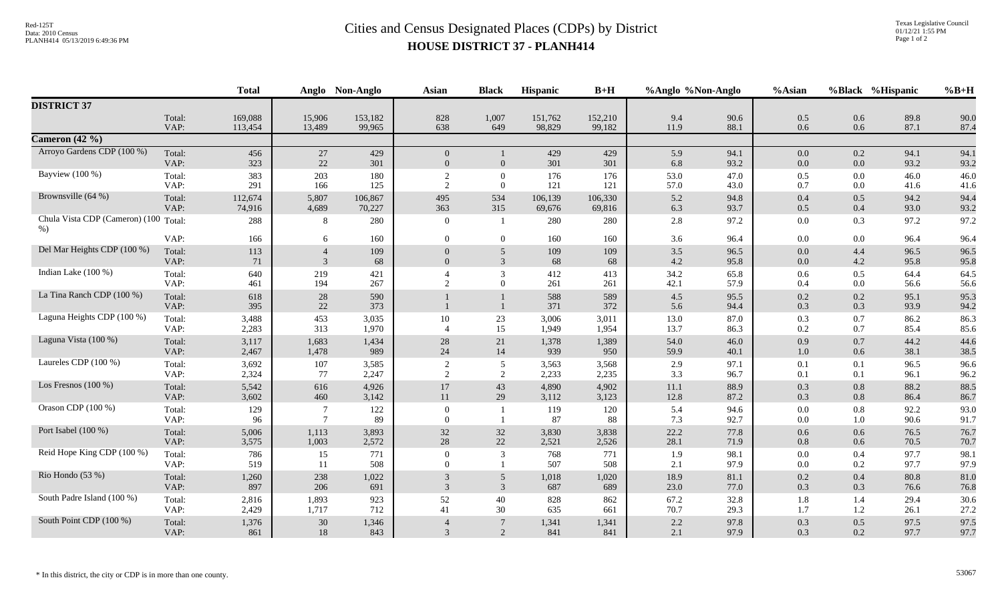## Red-125T<br>Data: 2010 Census<br>PLANH414 05/13/2019 6:49:36 PM<br>**Cities and Census Designated Places (CDPs)** by District **HOUSE DISTRICT 37 - PLANH414**

|                                         |                | <b>Total</b>       |                                 | Anglo Non-Anglo   | <b>Asian</b>                     | <b>Black</b>             | Hispanic          | $B+H$             | %Anglo %Non-Anglo |              | %Asian         |            | %Black %Hispanic | $%B+H$       |
|-----------------------------------------|----------------|--------------------|---------------------------------|-------------------|----------------------------------|--------------------------|-------------------|-------------------|-------------------|--------------|----------------|------------|------------------|--------------|
| <b>DISTRICT 37</b>                      |                |                    |                                 |                   |                                  |                          |                   |                   |                   |              |                |            |                  |              |
|                                         | Total:<br>VAP: | 169,088<br>113,454 | 15,906<br>13,489                | 153,182<br>99,965 | 828<br>638                       | 1,007<br>649             | 151,762<br>98,829 | 152,210<br>99,182 | 9.4<br>11.9       | 90.6<br>88.1 | 0.5<br>0.6     | 0.6<br>0.6 | 89.8<br>87.1     | 90.0<br>87.4 |
| Cameron $(42\%)$                        |                |                    |                                 |                   |                                  |                          |                   |                   |                   |              |                |            |                  |              |
| Arroyo Gardens CDP (100 %)              | Total:<br>VAP: | 456<br>323         | 27<br>22                        | 429<br>301        | $\overline{0}$<br>$\overline{0}$ | $\overline{0}$           | 429<br>301        | 429<br>301        | 5.9<br>6.8        | 94.1<br>93.2 | $0.0\,$<br>0.0 | 0.2<br>0.0 | 94.1<br>93.2     | 94.1<br>93.2 |
| Bayview (100 %)                         | Total:<br>VAP: | 383<br>291         | 203<br>166                      | 180<br>125        | $\overline{2}$<br>$\mathcal{D}$  | $\mathbf{0}$<br>$\Omega$ | 176<br>121        | 176<br>121        | 53.0<br>57.0      | 47.0<br>43.0 | 0.5<br>0.7     | 0.0<br>0.0 | 46.0<br>41.6     | 46.0<br>41.6 |
| Brownsville (64 %)                      | Total:<br>VAP: | 112,674<br>74,916  | 5,807<br>4,689                  | 106,867<br>70,227 | 495<br>363                       | 534<br>315               | 106,139<br>69,676 | 106,330<br>69,816 | 5.2<br>6.3        | 94.8<br>93.7 | 0.4<br>0.5     | 0.5<br>0.4 | 94.2<br>93.0     | 94.4<br>93.2 |
| Chula Vista CDP (Cameron) (100<br>$%$ ) | Total:         | 288                | 8                               | 280               | $\overline{0}$                   | $\overline{1}$           | 280               | 280               | 2.8               | 97.2         | $0.0\,$        | 0.3        | 97.2             | 97.2         |
|                                         | VAP:           | 166                | 6                               | 160               | $\theta$                         | $\Omega$                 | 160               | 160               | 3.6               | 96.4         | 0.0            | 0.0        | 96.4             | 96.4         |
| Del Mar Heights CDP (100 %)             | Total:<br>VAP: | 113<br>71          | $\overline{4}$<br>$\mathcal{R}$ | 109<br>68         | $\Omega$                         | 5<br>$\mathcal{E}$       | 109<br>68         | 109<br>68         | $3.5$<br>4.2      | 96.5<br>95.8 | 0.0<br>0.0     | 4.4<br>4.2 | 96.5<br>95.8     | 96.5<br>95.8 |
| Indian Lake $(100\%)$                   | Total:<br>VAP: | 640<br>461         | 219<br>194                      | 421<br>267        | 2                                | 3<br>$\Omega$            | 412<br>261        | 413<br>261        | 34.2<br>42.1      | 65.8<br>57.9 | 0.6<br>0.4     | 0.5<br>0.0 | 64.4<br>56.6     | 64.5<br>56.6 |
| La Tina Ranch CDP (100 %)               | Total:<br>VAP: | 618<br>395         | 28<br>22                        | 590<br>373        |                                  | $\mathbf{1}$             | 588<br>371        | 589<br>372        | 4.5<br>5.6        | 95.5<br>94.4 | 0.2<br>0.3     | 0.2<br>0.3 | 95.1<br>93.9     | 95.3<br>94.2 |
| Laguna Heights CDP (100 %)              | Total:<br>VAP: | 3,488<br>2,283     | 453<br>313                      | 3,035<br>1,970    | 10                               | 23<br>15                 | 3,006<br>1,949    | 3,011<br>1,954    | 13.0<br>13.7      | 87.0<br>86.3 | 0.3<br>0.2     | 0.7<br>0.7 | 86.2<br>85.4     | 86.3<br>85.6 |
| Laguna Vista (100 %)                    | Total:<br>VAP: | 3,117<br>2,467     | 1,683<br>1,478                  | 1,434<br>989      | 28<br>24                         | 21<br>14                 | 1,378<br>939      | 1,389<br>950      | 54.0<br>59.9      | 46.0<br>40.1 | 0.9<br>$1.0\,$ | 0.7<br>0.6 | 44.2<br>38.1     | 44.6<br>38.5 |
| Laureles CDP (100 %)                    | Total:<br>VAP: | 3,692<br>2,324     | 107<br>77                       | 3,585<br>2,247    | 2<br>2                           | 5<br>2                   | 3,563<br>2,233    | 3,568<br>2,235    | 2.9<br>3.3        | 97.1<br>96.7 | 0.1<br>0.1     | 0.1<br>0.1 | 96.5<br>96.1     | 96.6<br>96.2 |
| Los Fresnos $(100\%)$                   | Total:<br>VAP: | 5,542<br>3,602     | 616<br>460                      | 4,926<br>3,142    | 17<br>11                         | 43<br>29                 | 4,890<br>3,112    | 4,902<br>3,123    | 11.1<br>12.8      | 88.9<br>87.2 | 0.3<br>0.3     | 0.8<br>0.8 | 88.2<br>86.4     | 88.5<br>86.7 |
| Orason CDP (100 %)                      | Total:<br>VAP: | 129<br>96          | $\overline{7}$                  | 122<br>89         | $\Omega$<br>$\Omega$             | $\overline{1}$           | 119<br>87         | 120<br>88         | 5.4<br>7.3        | 94.6<br>92.7 | 0.0<br>0.0     | 0.8<br>1.0 | 92.2<br>90.6     | 93.0<br>91.7 |
| Port Isabel (100 %)                     | Total:<br>VAP: | 5,006<br>3,575     | 1,113<br>1,003                  | 3,893<br>2,572    | 32<br>28                         | 32<br>22                 | 3,830<br>2,521    | 3,838<br>2,526    | 22.2<br>28.1      | 77.8<br>71.9 | 0.6<br>0.8     | 0.6<br>0.6 | 76.5<br>70.5     | 76.7<br>70.7 |
| Reid Hope King CDP (100 %)              | Total:<br>VAP: | 786<br>519         | 15<br>11                        | 771<br>508        | $\overline{0}$<br>$\Omega$       | 3                        | 768<br>507        | 771<br>508        | 1.9<br>2.1        | 98.1<br>97.9 | $0.0\,$<br>0.0 | 0.4<br>0.2 | 97.7<br>97.7     | 98.1<br>97.9 |
| Rio Hondo (53 %)                        | Total:<br>VAP: | 1,260<br>897       | 238<br>206                      | 1,022<br>691      | 3<br>$\mathcal{R}$               | 5<br>$\mathcal{R}$       | 1,018<br>687      | 1,020<br>689      | 18.9<br>23.0      | 81.1<br>77.0 | 0.2<br>0.3     | 0.4<br>0.3 | 80.8<br>76.6     | 81.0<br>76.8 |
| South Padre Island (100 %)              | Total:<br>VAP: | 2,816<br>2,429     | 1,893<br>1,717                  | 923<br>712        | 52<br>41                         | 40<br>30                 | 828<br>635        | 862<br>661        | 67.2<br>70.7      | 32.8<br>29.3 | $1.8\,$<br>1.7 | 1.4<br>1.2 | 29.4<br>26.1     | 30.6<br>27.2 |
| South Point CDP (100 %)                 | Total:<br>VAP: | 1,376<br>861       | 30<br>18                        | 1,346<br>843      | 3                                | 7<br>2                   | 1,341<br>841      | 1,341<br>841      | 2.2<br>2.1        | 97.8<br>97.9 | 0.3<br>0.3     | 0.5<br>0.2 | 97.5<br>97.7     | 97.5<br>97.7 |